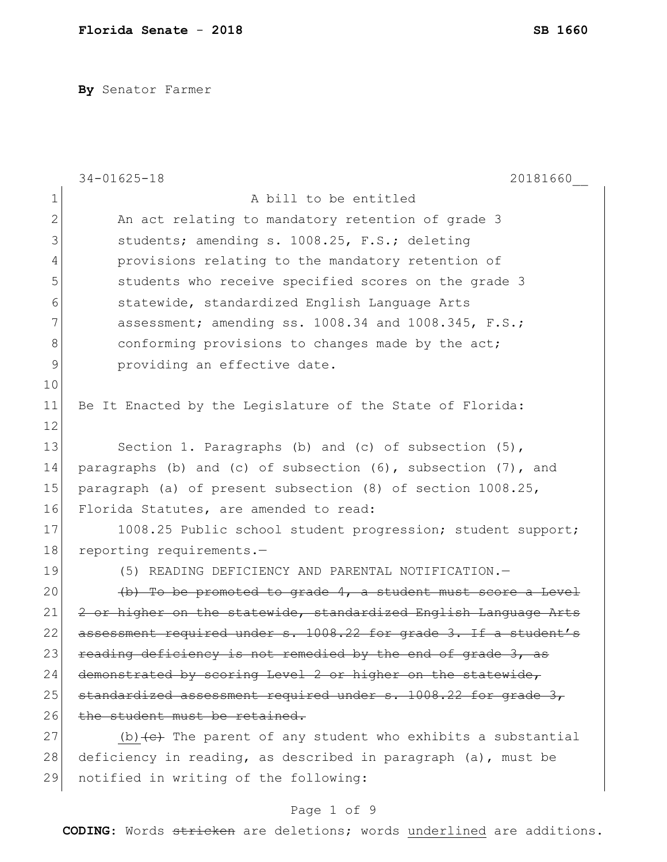**By** Senator Farmer

|              | $34 - 01625 - 18$<br>20181660                                               |
|--------------|-----------------------------------------------------------------------------|
| $\mathbf 1$  | A bill to be entitled                                                       |
| $\mathbf{2}$ | An act relating to mandatory retention of grade 3                           |
| 3            | students; amending s. 1008.25, F.S.; deleting                               |
| 4            | provisions relating to the mandatory retention of                           |
| 5            | students who receive specified scores on the grade 3                        |
| 6            | statewide, standardized English Language Arts                               |
| 7            | assessment; amending ss. 1008.34 and 1008.345, F.S.;                        |
| 8            | conforming provisions to changes made by the act;                           |
| 9            | providing an effective date.                                                |
| 10           |                                                                             |
| 11           | Be It Enacted by the Legislature of the State of Florida:                   |
| 12           |                                                                             |
| 13           | Section 1. Paragraphs (b) and (c) of subsection (5),                        |
| 14           | paragraphs (b) and (c) of subsection (6), subsection (7), and               |
| 15           | paragraph (a) of present subsection (8) of section 1008.25,                 |
| 16           | Florida Statutes, are amended to read:                                      |
| 17           | 1008.25 Public school student progression; student support;                 |
| 18           | reporting requirements.-                                                    |
| 19           | (5) READING DEFICIENCY AND PARENTAL NOTIFICATION.-                          |
| 20           | (b) To be promoted to grade 4, a student must score a Level                 |
| 21           | 2 or higher on the statewide, standardized English Language Arts            |
| 22           | assessment required under s. 1008.22 for grade 3. If a student's            |
| 23           | reading deficiency is not remedied by the end of grade 3, as                |
| 24           | demonstrated by scoring Level 2 or higher on the statewide,                 |
| 25           | standardized assessment required under s. 1008.22 for grade 3,              |
| 26           | the student must be retained.                                               |
| 27           | (b) $\left\{e\right\}$ The parent of any student who exhibits a substantial |
| 28           | deficiency in reading, as described in paragraph (a), must be               |
| 29           | notified in writing of the following:                                       |

# Page 1 of 9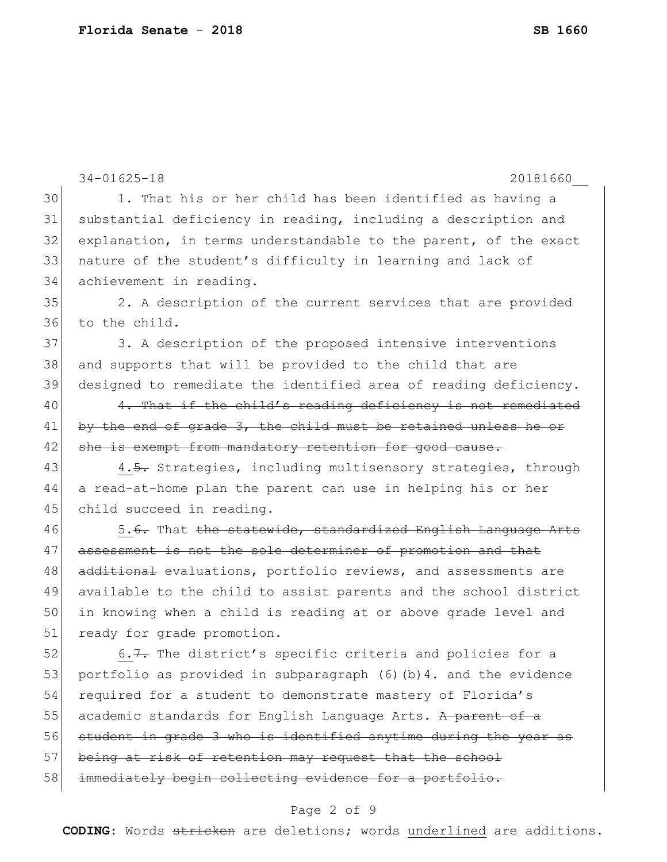|    | $34 - 01625 - 18$<br>20181660                                     |
|----|-------------------------------------------------------------------|
| 30 | 1. That his or her child has been identified as having a          |
| 31 | substantial deficiency in reading, including a description and    |
| 32 | explanation, in terms understandable to the parent, of the exact  |
| 33 | nature of the student's difficulty in learning and lack of        |
| 34 | achievement in reading.                                           |
| 35 | 2. A description of the current services that are provided        |
| 36 | to the child.                                                     |
| 37 | 3. A description of the proposed intensive interventions          |
| 38 | and supports that will be provided to the child that are          |
| 39 | designed to remediate the identified area of reading deficiency.  |
| 40 | 4. That if the child's reading deficiency is not remediated       |
| 41 | by the end of grade 3, the child must be retained unless he or    |
| 42 | she is exempt from mandatory retention for good cause.            |
| 43 | 4.5. Strategies, including multisensory strategies, through       |
| 44 | a read-at-home plan the parent can use in helping his or her      |
| 45 | child succeed in reading.                                         |
| 46 | 5.6. That the statewide, standardized English Language Arts       |
| 47 | assessment is not the sole determiner of promotion and that       |
| 48 | additional evaluations, portfolio reviews, and assessments are    |
| 49 | available to the child to assist parents and the school district  |
| 50 | in knowing when a child is reading at or above grade level and    |
| 51 | ready for grade promotion.                                        |
| 52 | 6.7. The district's specific criteria and policies for a          |
| 53 | portfolio as provided in subparagraph (6) (b) 4. and the evidence |
| 54 | required for a student to demonstrate mastery of Florida's        |
| 55 | academic standards for English Language Arts. A parent of a       |
| 56 | student in grade 3 who is identified anytime during the year as   |
| 57 | being at risk of retention may request that the school            |
| 58 | immediately begin collecting evidence for a portfolio.            |
|    | Page 2 of 9                                                       |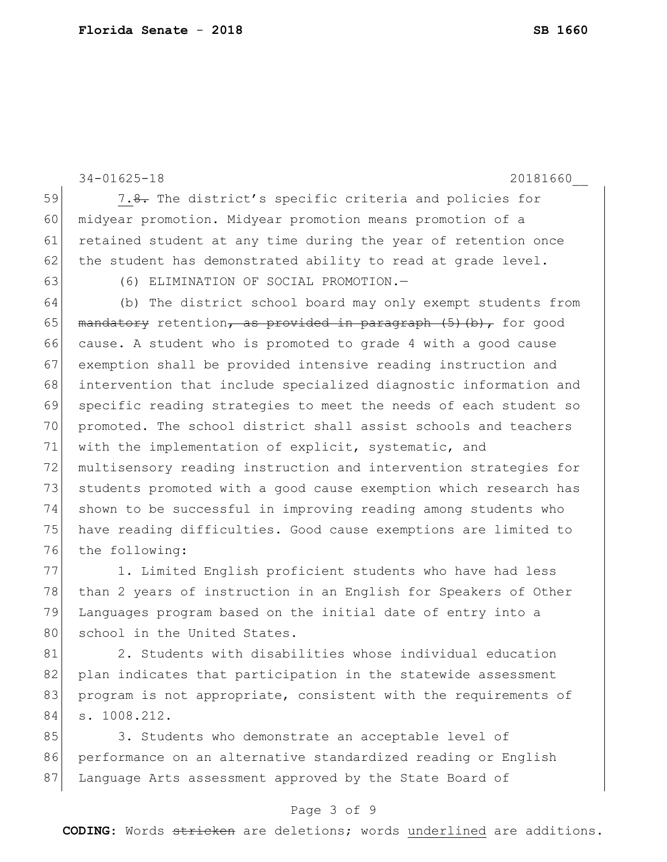```
34-01625-18 20181660__
59 7.8. The district's specific criteria and policies for
60 midyear promotion. Midyear promotion means promotion of a 
61 retained student at any time during the year of retention once
62 the student has demonstrated ability to read at grade level.
63 (6) ELIMINATION OF SOCIAL PROMOTION.—
64 (b) The district school board may only exempt students from 
65 mandatory retention, as provided in paragraph (5) (b), for good
66 cause. A student who is promoted to grade 4 with a good cause 
67 exemption shall be provided intensive reading instruction and 
68 intervention that include specialized diagnostic information and 
69 specific reading strategies to meet the needs of each student so 
70 promoted. The school district shall assist schools and teachers 
71 with the implementation of explicit, systematic, and
72 multisensory reading instruction and intervention strategies for 
73 students promoted with a good cause exemption which research has
74 shown to be successful in improving reading among students who 
75 have reading difficulties. Good cause exemptions are limited to 
76 the following:
77 1. Limited English proficient students who have had less
```
78 than 2 years of instruction in an English for Speakers of Other 79 Languages program based on the initial date of entry into a 80 school in the United States.

81 2. Students with disabilities whose individual education 82 plan indicates that participation in the statewide assessment 83 program is not appropriate, consistent with the requirements of 84 s. 1008.212.

85 3. Students who demonstrate an acceptable level of 86 performance on an alternative standardized reading or English 87 Language Arts assessment approved by the State Board of

### Page 3 of 9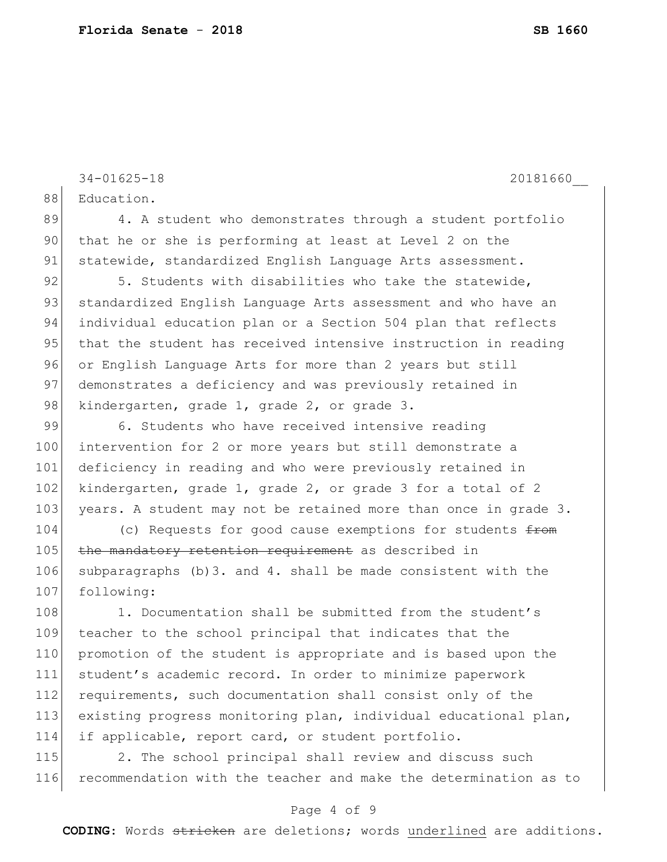88 Education.

89 4. A student who demonstrates through a student portfolio 90 that he or she is performing at least at Level 2 on the 91 statewide, standardized English Language Arts assessment. 92 5. Students with disabilities who take the statewide, 93 standardized English Language Arts assessment and who have an 94 individual education plan or a Section 504 plan that reflects 95 that the student has received intensive instruction in reading 96 or English Language Arts for more than 2 years but still 97 demonstrates a deficiency and was previously retained in 98 kindergarten, grade 1, grade 2, or grade 3. 99 6. Students who have received intensive reading 100 intervention for 2 or more years but still demonstrate a 101 deficiency in reading and who were previously retained in 102 kindergarten, grade 1, grade 2, or grade 3 for a total of 2 103 years. A student may not be retained more than once in grade 3. 104 (c) Requests for good cause exemptions for students  $f$ from 105 the mandatory retention requirement as described in 106 subparagraphs (b)3. and 4. shall be made consistent with the 107 following: 108 1. Documentation shall be submitted from the student's 109 teacher to the school principal that indicates that the 110 promotion of the student is appropriate and is based upon the 111 student's academic record. In order to minimize paperwork

34-01625-18 20181660\_\_

112 requirements, such documentation shall consist only of the 113 existing progress monitoring plan, individual educational plan, 114 if applicable, report card, or student portfolio.

115 2. The school principal shall review and discuss such 116 recommendation with the teacher and make the determination as to

### Page 4 of 9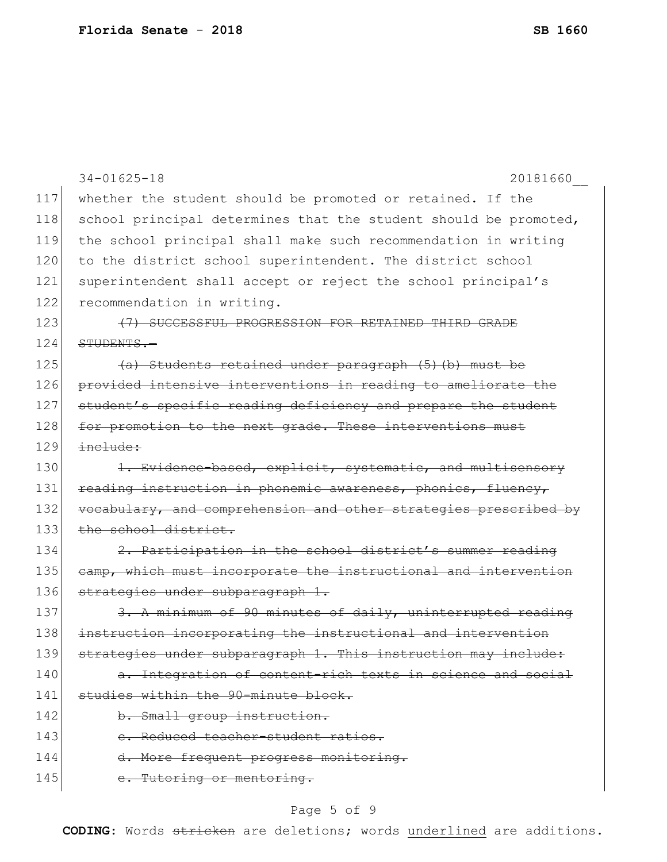|     | $34 - 01625 - 18$<br>20181660                                    |
|-----|------------------------------------------------------------------|
| 117 | whether the student should be promoted or retained. If the       |
| 118 | school principal determines that the student should be promoted, |
| 119 | the school principal shall make such recommendation in writing   |
| 120 | to the district school superintendent. The district school       |
| 121 | superintendent shall accept or reject the school principal's     |
| 122 | recommendation in writing.                                       |
| 123 | (7) SUCCESSFUL PROGRESSION FOR RETAINED THIRD GRADE              |
| 124 | STUDENTS.-                                                       |
| 125 | (a) Students retained under paragraph (5) (b) must be            |
| 126 | provided intensive interventions in reading to ameliorate the    |
| 127 | student's specific reading deficiency and prepare the student    |
| 128 | for promotion to the next grade. These interventions must        |
| 129 | include:                                                         |
| 130 | 1. Evidence-based, explicit, systematic, and multisensory        |
| 131 | reading instruction in phonemic awareness, phonics, fluency,     |
| 132 | vocabulary, and comprehension and other strategies prescribed by |
| 133 | the school district.                                             |
| 134 | 2. Participation in the school district's summer reading         |
| 135 | camp, which must incorporate the instructional and intervention  |
| 136 | strategies under subparagraph 1.                                 |
| 137 | 3. A minimum of 90 minutes of daily, uninterrupted reading       |
| 138 | instruction incorporating the instructional and intervention     |
| 139 | strategies under subparagraph 1. This instruction may include:   |
| 140 | a. Integration of content-rich texts in science and social       |
| 141 | studies within the 90-minute block.                              |
| 142 | b. Small group instruction.                                      |
| 143 | e. Reduced teacher-student ratios.                               |
| 144 | d. More frequent progress monitoring.                            |
| 145 | e. Tutoring or mentoring.                                        |

# Page 5 of 9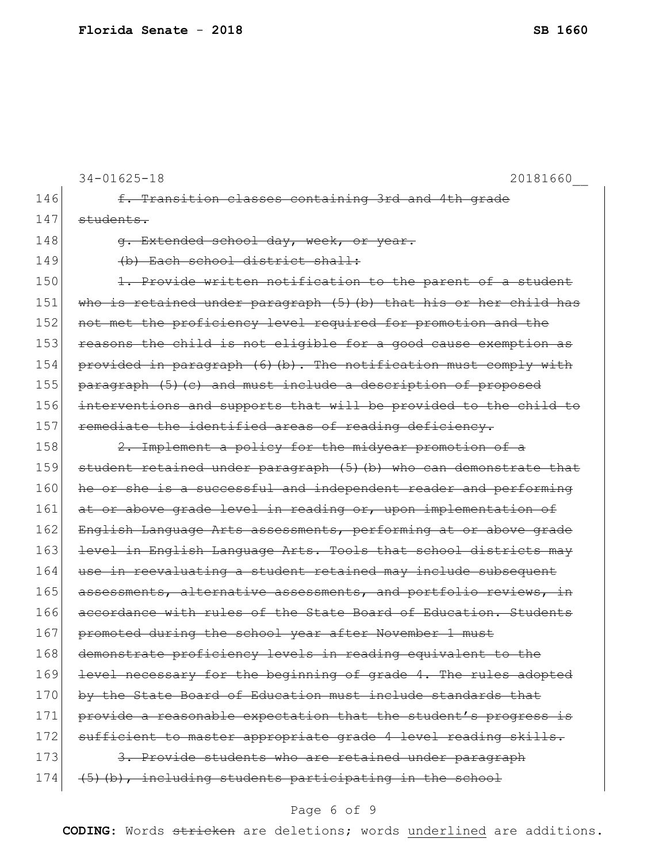```
34-01625-18 20181660__
146 f. Transition classes containing 3rd and 4th grade
147 students.
148 g. Extended school day, week, or year.
149 (b) Each school district shall:
150 1. Provide written notification to the parent of a student
151 who is retained under paragraph (5)(b) that his or her child has 
152 not met the proficiency level required for promotion and the
153 reasons the child is not eligible for a good cause exemption as
154 provided in paragraph (6) (b). The notification must comply with
155 paragraph (5)(c) and must include a description of proposed
156 interventions and supports that will be provided to the child to
157 remediate the identified areas of reading deficiency.
158 2. Implement a policy for the midyear promotion of a
159 student retained under paragraph (5) (b) who can demonstrate that
160 he or she is a successful and independent reader and performing
161 at or above grade level in reading or, upon implementation of
162 English Language Arts assessments, performing at or above grade
163 level in English Language Arts. Tools that school districts may
164 use in reevaluating a student retained may include subsequent
165 assessments, alternative assessments, and portfolio reviews, in
166 accordance with rules of the State Board of Education. Students 
167 promoted during the school year after November 1 must
168 demonstrate proficiency levels in reading equivalent to the
169 level necessary for the beginning of grade 4. The rules adopted
170 by the State Board of Education must include standards that
171 provide a reasonable expectation that the student's progress is
172 sufficient to master appropriate grade 4 level reading skills.
173 3. Provide students who are retained under paragraph
174 (5)(b), including students participating in the school
```
#### Page 6 of 9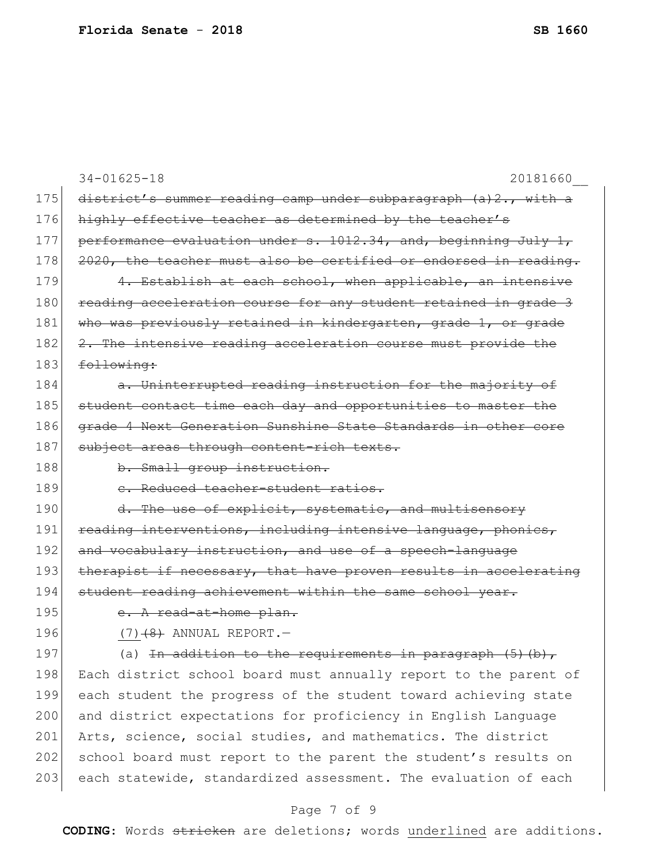|     | $34 - 01625 - 18$<br>20181660                                    |
|-----|------------------------------------------------------------------|
| 175 | district's summer reading camp under subparagraph (a)2., with a  |
| 176 | highly effective teacher as determined by the teacher's          |
| 177 | performance evaluation under s. 1012.34, and, beginning July 1,  |
| 178 | 2020, the teacher must also be certified or endorsed in reading. |
| 179 | 4. Establish at each school, when applicable, an intensive       |
| 180 | reading acceleration course for any student retained in grade 3  |
| 181 | who was previously retained in kindergarten, grade 1, or grade   |
| 182 | 2. The intensive reading acceleration course must provide the    |
| 183 | following:                                                       |
| 184 | a. Uninterrupted reading instruction for the majority of         |
| 185 | student contact time each day and opportunities to master the    |
| 186 | grade 4 Next Generation Sunshine State Standards in other core   |
| 187 | subject areas through content-rich texts.                        |
| 188 | b. Small group instruction.                                      |
| 189 | e. Reduced teacher-student ratios.                               |
| 190 | d. The use of explicit, systematic, and multisensory             |
| 191 | reading interventions, including intensive language, phonics,    |
| 192 | and vocabulary instruction, and use of a speech-language         |
| 193 | therapist if necessary, that have proven results in accelerating |
| 194 | student reading achievement within the same school year.         |
| 195 | e. A read-at-home plan.                                          |
| 196 | $(7)$ $(8)$ ANNUAL REPORT. -                                     |
| 197 | (a) In addition to the requirements in paragraph $(5)$ (b)       |
| 198 | Each district school board must annually report to the parent of |
| 199 | each student the progress of the student toward achieving state  |
| 200 | and district expectations for proficiency in English Language    |
| 201 | Arts, science, social studies, and mathematics. The district     |
| 202 | school board must report to the parent the student's results on  |
| 203 | each statewide, standardized assessment. The evaluation of each  |

# Page 7 of 9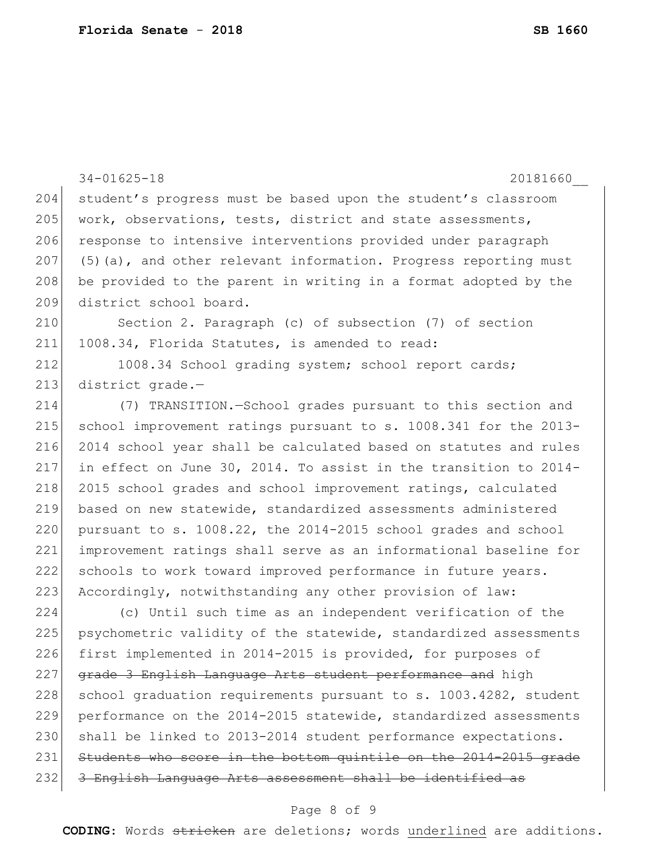|     | $34 - 01625 - 18$<br>20181660                                      |
|-----|--------------------------------------------------------------------|
| 204 | student's progress must be based upon the student's classroom      |
| 205 | work, observations, tests, district and state assessments,         |
| 206 | response to intensive interventions provided under paragraph       |
| 207 | $(5)$ (a), and other relevant information. Progress reporting must |
| 208 | be provided to the parent in writing in a format adopted by the    |
| 209 | district school board.                                             |
| 210 | Section 2. Paragraph (c) of subsection (7) of section              |
| 211 | 1008.34, Florida Statutes, is amended to read:                     |
| 212 | 1008.34 School grading system; school report cards;                |
| 213 | district grade.-                                                   |
| 214 | (7) TRANSITION.-School grades pursuant to this section and         |
| 215 | school improvement ratings pursuant to s. 1008.341 for the 2013-   |
| 216 | 2014 school year shall be calculated based on statutes and rules   |
| 217 | in effect on June 30, 2014. To assist in the transition to 2014-   |
| 218 | 2015 school grades and school improvement ratings, calculated      |
| 219 | based on new statewide, standardized assessments administered      |
| 220 | pursuant to s. 1008.22, the 2014-2015 school grades and school     |
| 221 | improvement ratings shall serve as an informational baseline for   |
| 222 | schools to work toward improved performance in future years.       |
| 223 | Accordingly, notwithstanding any other provision of law:           |
| 224 | (c) Until such time as an independent verification of the          |
| 225 | psychometric validity of the statewide, standardized assessments   |
| 226 | first implemented in 2014-2015 is provided, for purposes of        |
| 227 | grade 3 English Language Arts student performance and high         |
| 228 | school graduation requirements pursuant to s. 1003.4282, student   |
| 229 | performance on the 2014-2015 statewide, standardized assessments   |
| 230 | shall be linked to 2013-2014 student performance expectations.     |
| 231 | Students who score in the bottom quintile on the 2014-2015 grade   |
| 232 | 3 English Language Arts assessment shall be identified as          |
|     |                                                                    |

### Page 8 of 9